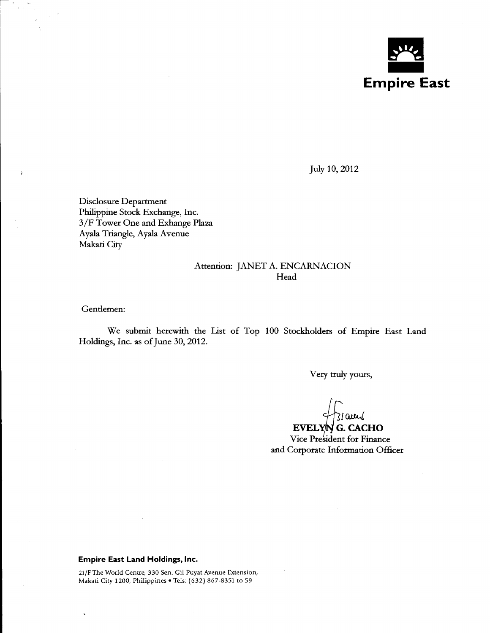

July 10, 2012

Disclosure Department Philippine Stock Exchange, Inc. 3 /F Tower One and Exhange Plaza Ayala Triangle, Ayala Avenue Makati City

## Attention: JANET A. ENCARNACION **Head**

Gentlemen:

 $\Box$  :

We submit herewith the List of Top 100 Stockholders of Empire East Land Holdings, Inc. as of June 30,2012.

Very truly yours,

 $31$ am $\sqrt{2}$ 

Vice President for Finance EVELYNG. CACHO and Corporate Information Officer

### **Empire East Land Holdings, Inc.**

21/F The World Centre, 330 Sen. Gil Puyat Avenue Extension, Makati City 1200, Philippines • Tels: (632) 867-8351 to 59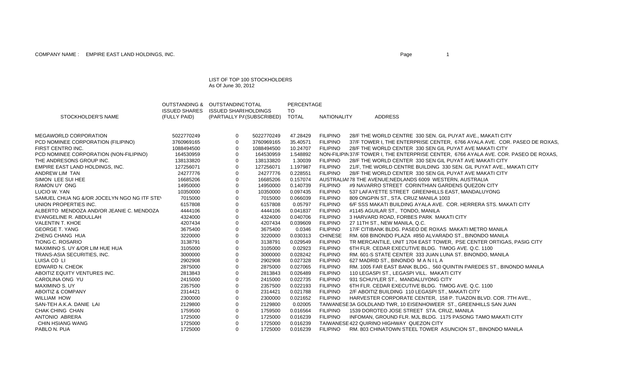#### LIST OF TOP 100 STOCKHOLDERS As Of June 30, 2012

OUTSTANDING & OUTSTANDINGTOTAL

|                                             | <b>ISSUED SHARES</b> | ISSUED SHARI HOLDINGS |                                  | TO       |                 |                                                                                      |
|---------------------------------------------|----------------------|-----------------------|----------------------------------|----------|-----------------|--------------------------------------------------------------------------------------|
| STOCKHOLDER'S NAME                          | (FULLY PAID)         |                       | (PARTIALLY P/ (SUBSCRIBED) TOTAL |          | NATIONALITY     | <b>ADDRESS</b>                                                                       |
|                                             |                      |                       |                                  |          |                 |                                                                                      |
| <b>MEGAWORLD CORPORATION</b>                | 5022770249           | $\mathbf 0$           | 5022770249                       | 47.28429 | <b>FILIPINO</b> | 28/F THE WORLD CENTRE 330 SEN. GIL PUYAT AVE., MAKATI CITY                           |
| PCD NOMINEE CORPORATION (FILIPINO)          | 3760969165           | 0                     | 3760969165                       | 35.40571 | <b>FILIPINO</b> | 37/F TOWER I, THE ENTERPRISE CENTER, 6766 AYALA AVE. COR. PASEO DE ROXAS.            |
| FIRST CENTRO INC.                           | 1088494500           | $\mathbf 0$           | 1088494500                       | 10.24707 | <b>FILIPINO</b> | 28/F THE WORLD CENTER 330 SEN GIL PUYAT AVE MAKATI CITY                              |
| PCD NOMINEE CORPORATION (NON-FILIPINO)      | 164530959            | 0                     | 164530959                        | 1.548892 |                 | NON-FILIPIN37/F TOWER I, THE ENTERPRISE CENTER, 6766 AYALA AVE. COR. PASEO DE ROXAS, |
| THE ANDRESONS GROUP INC.                    | 138133820            | 0                     | 138133820                        | 1.30039  | <b>FILIPINO</b> | 28/F THE WORLD CENTER 330 SEN GIL PUYAT AVE MAKATI CITY                              |
| EMPIRE EAST LAND HOLDINGS, INC.             | 127256071            | 0                     | 127256071                        | 1.197987 | <b>FILIPINO</b> | 21/F, THE WORLD CENTRE BUILDING 330 SEN. GIL PUYAT AVE., MAKATI CITY                 |
| ANDREW LIM TAN                              | 24277776             | 0                     | 24277776                         | 0.228551 | <b>FILIPINO</b> | 28/F THE WORLD CENTER 330 SEN GIL PUYAT AVE MAKATI CITY                              |
| SIMON LEE SUI HEE                           | 16685206             | 0                     | 16685206                         | 0.157074 |                 | AUSTRALIAI 78 THE AVENUE; NEDLANDS 6009 WESTERN, AUSTRALIA                           |
| RAMON UY ONG                                | 14950000             | 0                     | 14950000                         | 0.140739 | <b>FILIPINO</b> | #9 NAVARRO STREET CORINTHIAN GARDENS QUEZON CITY                                     |
| LUCIO W. YAN                                | 10350000             | 0                     | 10350000                         | 0.097435 | <b>FILIPINO</b> | 537 LAFAYETTE STREET GREENHILLS EAST, MANDALUYONG                                    |
| SAMUEL CHUA NG &/OR JOCELYN NGO NG ITF STEV | 7015000              | 0                     | 7015000                          | 0.066039 | <b>FILIPINO</b> | 809 ONGPIN ST., STA. CRUZ MANILA 1003                                                |
| UNION PROPERTIES INC.                       | 6157808              | 0                     | 6157808                          | 0.05797  | <b>FILIPINO</b> | 6/F SSS MAKATI BUILDING AYALA AVE. COR. HERRERA STS. MAKATI CITY                     |
| ALBERTO MENDOZA AND/OR JEANIE C. MENDOZA    | 4444106              | 0                     | 4444106                          | 0.041837 | <b>FILIPINO</b> | #1145 AGUILAR ST., TONDO, MANILA                                                     |
| EVANGELINE R. ABDULLAH                      | 4324000              | $\mathbf 0$           | 4324000                          | 0.040706 | <b>FILIPINO</b> | 3 HARVARD ROAD, FORBES PARK MAKATI CITY                                              |
| <b>VALENTIN T. KHOE</b>                     | 4207434              | 0                     | 4207434                          | 0.039609 | <b>FILIPINO</b> | 27 11TH ST., NEW MANILA, Q.C.                                                        |
| <b>GEORGE T. YANG</b>                       | 3675400              | $\mathbf 0$           | 3675400                          | 0.0346   | <b>FILIPINO</b> | 17/F CITIBANK BLDG. PASEO DE ROXAS MAKATI METRO MANILA                               |
| ZHENG CHANG HUA                             | 3220000              | 0                     | 3220000                          | 0.030313 | <b>CHINESE</b>  | RM. 608 BINONDO PLAZA #850 ALVARADO ST., BINONDO MANILA                              |
| <b>TIONG C. ROSARIO</b>                     | 3138791              | 0                     | 3138791                          | 0.029549 | <b>FILIPINO</b> | TR MERCANTILE, UNIT 1704 EAST TOWER, PSE CENTER ORTIGAS, PASIG CITY                  |
| MAXIMINO S. UY &/OR LIM HUE HUA             | 3105000              | 0                     | 3105000                          | 0.02923  | <b>FILIPINO</b> | 6TH FLR. CEDAR EXECUTIVE BLDG. TIMOG AVE. Q.C. 1100                                  |
| TRANS-ASIA SECURITIES, INC.                 | 3000000              | 0                     | 3000000                          | 0.028242 | <b>FILIPINO</b> | RM. 601-S STATE CENTER 333 JUAN LUNA ST. BINONDO, MANILA                             |
| LUISA CO LI                                 | 2902908              | 0                     | 2902908                          | 0.027328 | <b>FILIPINO</b> | 627 MADRID ST., BINONDO MANILA                                                       |
| EDWARD N. CHEOK                             | 2875000              | 0                     | 2875000                          | 0.027065 | <b>FILIPINO</b> | RM. 1005 FAR EAST BANK BLDG., 560 QUINTIN PAREDES ST., BINONDO MANILA                |
| ABOITIZ EQUITY VENTURES INC.                | 2813843              | 0                     | 2813843                          | 0.026489 | <b>FILIPINO</b> | 110 LEGASPI ST., LEGASPI VILL. MAKATI CITY                                           |
| CAROLINA ONG YU                             | 2415000              | 0                     | 2415000                          | 0.022735 | <b>FILIPINO</b> | 931 SCHUYLER ST., MANDALUYONG CITY                                                   |
| <b>MAXIMINO S. UY</b>                       | 2357500              | 0                     | 2357500                          | 0.022193 | <b>FILIPINO</b> | 6TH FLR. CEDAR EXECUTIVE BLDG. TIMOG AVE. Q.C. 1100                                  |
| <b>ABOITIZ &amp; COMPANY</b>                | 2314421              | 0                     | 2314421                          | 0.021788 | <b>FILIPINO</b> | 2/F ABOITIZ BUILDING 110 LEGASPI ST., MAKATI CITY                                    |
| <b>WILLIAM HOW</b>                          | 2300000              | 0                     | 2300000                          | 0.021652 | <b>FILIPINO</b> | HARVESTER CORPORATE CENTER, 158 P. TUAZON BLVD. COR. 7TH AVE.,                       |
| SAN-TEH A.K.A. DANIE LAI                    | 2129800              | 0                     | 2129800                          | 0.02005  |                 | TAIWANESE 3A GOLDLAND TWR, 10 EISENHOWEER ST., GREENHILLS SAN JUAN                   |
| CHAK CHING CHAN                             | 1759500              | 0                     | 1759500                          | 0.016564 | <b>FILIPINO</b> | 1539 DOROTEO JOSE STREET STA. CRUZ, MANILA                                           |
| ANTONIO ABRERA                              | 1725000              | 0                     | 1725000                          | 0.016239 | <b>FILIPINO</b> | INFOMAN, GROUND FLR. MJL BLDG. 1175 PASONG TAMO MAKATI CITY                          |
| CHIN HSIANG WANG                            | 1725000              | $\Omega$              | 1725000                          | 0.016239 |                 | TAIWANESE 422 QUIRINO HIGHWAY QUEZON CITY                                            |
| PABLO N. PUA                                | 1725000              | 0                     | 1725000                          | 0.016239 | <b>FILIPINO</b> | RM. 803 CHINATOWN STEEL TOWER ASUNCION ST., BINONDO MANILA                           |

PERCENTAGE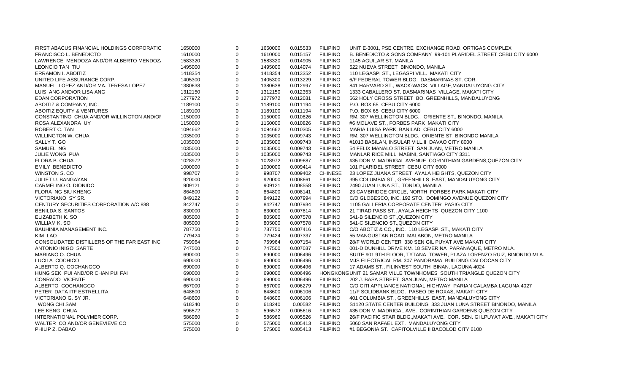| FIRST ABACUS FINANCIAL HOLDINGS CORPORATIO   | 1650000 | 0           | 1650000 | 0.015533 | <b>FILIPINO</b> | UNIT E-3001, PSE CENTRE EXCHANGE ROAD, ORTIGAS COMPLEX                     |
|----------------------------------------------|---------|-------------|---------|----------|-----------------|----------------------------------------------------------------------------|
| <b>FRANCISCO L. BENEDICTO</b>                | 1610000 | $\mathbf 0$ | 1610000 | 0.015157 | <b>FILIPINO</b> | B. BENEDICTO & SONS COMPANY 99-101 PLARIDEL STREET CEBU CITY 6000          |
| LAWRENCE MENDOZA AND/OR ALBERTO MENDOZ/      | 1583320 | $\mathbf 0$ | 1583320 | 0.014905 | <b>FILIPINO</b> | 1145 AGUILAR ST. MANILA                                                    |
| LEONCIO TAN TIU                              | 1495000 | $\mathbf 0$ | 1495000 | 0.014074 | <b>FILIPINO</b> | 522 NUEVA STREET BINONDO, MANILA                                           |
| <b>ERRAMON I. ABOITIZ</b>                    | 1418354 | 0           | 1418354 | 0.013352 | <b>FILIPINO</b> | 110 LEGASPI ST., LEGASPI VILL. MAKATI CITY                                 |
| UNITED LIFE ASSURANCE CORP.                  | 1405300 | $\mathbf 0$ | 1405300 | 0.013229 | <b>FILIPINO</b> | 6/F FEDERAL TOWER BLDG. DASMARINAS ST. COR.                                |
| MANUEL LOPEZ AND/OR MA. TERESA LOPEZ         | 1380638 | $\mathbf 0$ | 1380638 | 0.012997 | <b>FILIPINO</b> | 841 HARVARD ST., WACK-WACK VILLAGE, MANDALUYONG CITY                       |
| LUIS ANG AND/OR LISA ANG                     | 1312150 | $\mathbf 0$ | 1312150 | 0.012353 | <b>FILIPINO</b> | 1333 CABALLERO ST. DASMARINAS VILLAGE, MAKATI CITY                         |
| EDAN CORPORATION                             | 1277972 | $\mathbf 0$ | 1277972 | 0.012031 | <b>FILIPINO</b> | 562 HOLY CROSS STREET BO. GREENHILLS, MANDALUYONG                          |
| ABOITIZ & COMPANY, INC.                      | 1189100 | $\mathbf 0$ | 1189100 | 0.011194 | <b>FILIPINO</b> | P.O. BOX 65 CEBU CITY 6000                                                 |
| ABOITIZ EQUITY & VENTURES                    | 1189100 | $\mathbf 0$ | 1189100 | 0.011194 | <b>FILIPINO</b> | P.O. BOX 65 CEBU CITY 6000                                                 |
| CONSTANTINO CHUA AND/OR WILLINGTON AND/OF    | 1150000 | $\mathbf 0$ | 1150000 | 0.010826 | <b>FILIPINO</b> | RM. 307 WELLINGTON BLDG., ORIENTE ST., BINONDO, MANILA                     |
| ROSA ALEXANDRA UY                            | 1150000 | $\mathbf 0$ | 1150000 | 0.010826 | <b>FILIPINO</b> | #6 MOLAVE ST., FORBES PARK MAKATI CITY                                     |
| ROBERT C. TAN                                | 1094662 | $\mathbf 0$ | 1094662 | 0.010305 | <b>FILIPINO</b> | MARIA LUISA PARK, BANILAD CEBU CITY 6000                                   |
| <b>WILLINGTON W. CHUA</b>                    | 1035000 | $\mathbf 0$ | 1035000 | 0.009743 | <b>FILIPINO</b> | RM. 307 WELLINGTON BLDG. ORIENTE ST. BINONDO MANILA                        |
| SALLY T. GO                                  | 1035000 | $\mathbf 0$ | 1035000 | 0.009743 | <b>FILIPINO</b> | #1010 BASILAN, INSULAR VILL.II DAVAO CITY 8000                             |
| SAMUEL NG                                    | 1035000 | $\mathbf 0$ | 1035000 | 0.009743 | <b>FILIPINO</b> | 54 FELIX MANALO STREET SAN JUAN, METRO MANILA                              |
| JULIE WONG PUA                               | 1035000 | $\mathbf 0$ | 1035000 | 0.009743 | <b>FILIPINO</b> | MANLAR RICE MILL MABINI, SANTIAGO CITY 3311                                |
| FLORA B. CHUA                                | 1028972 | 0           | 1028972 | 0.009687 | <b>FILIPINO</b> | #35 DON V. MADRIGAL AVENUE CORINTHIAN GARDENS, QUEZON CITY                 |
| <b>EMILY BENEDICTO</b>                       | 1000000 | $\mathbf 0$ | 1000000 | 0.009414 | <b>FILIPINO</b> | 101 PLARIDEL STREET CEBU CITY 6000                                         |
| WINSTON S. CO                                | 998707  | $\mathbf 0$ | 998707  | 0.009402 | <b>CHINESE</b>  | 23 LOPEZ JUANA STREET AYALA HEIGHTS, QUEZON CITY                           |
| JULIET U. BANGAYAN                           | 920000  | $\mathbf 0$ | 920000  | 0.008661 | <b>FILIPINO</b> | 395 COLUMBIA ST., GREENHILLS EAST, MANDALUYONG CITY                        |
| CARMELINO O. DIONIDO                         | 909121  | $\mathbf 0$ | 909121  | 0.008558 | <b>FILIPINO</b> | 2490 JUAN LUNA ST., TONDO, MANILA                                          |
| FLORA NG SIU KHENG                           | 864800  | $\mathbf 0$ | 864800  | 0.008141 | <b>FILIPINO</b> | 23 CAMBRIDGE CIRCLE, NORTH FORBES PARK MAKATI CITY                         |
| VICTORIANO SY SR.                            | 849122  | $\mathbf 0$ | 849122  | 0.007994 | <b>FILIPINO</b> | C/O GLOBESCO, INC. 192 STO. DOMINGO AVENUE QUEZON CITY                     |
| CENTURY SECURITIES CORPORATION A/C 888       | 842747  | $\Omega$    | 842747  | 0.007934 | <b>FILIPINO</b> | 1105 GALLERIA CORPORATE CENTER PASIG CITY                                  |
| <b>BENILDA S. SANTOS</b>                     | 830000  | 0           | 830000  | 0.007814 | <b>FILIPINO</b> | 21 TIRAD PASS ST., AYALA HEIGHTS QUEZON CITY 1100                          |
| ELIZABETH K. SO                              | 805000  | $\mathbf 0$ | 805000  | 0.007578 | <b>FILIPINO</b> | 541-B SILENCIO ST., QUEZON CITY                                            |
| WILLIAM K. SO                                | 805000  | $\mathbf 0$ | 805000  | 0.007578 | <b>FILIPINO</b> | 541-C SILENCIO ST., QUEZON CITY                                            |
| BAUHINIA MANAGEMENT INC.                     | 787750  | $\Omega$    | 787750  | 0.007416 | <b>FILIPINO</b> | C/O ABOTIZ & CO., INC. 110 LEGASPI ST., MAKATI CITY                        |
| KIM LAO                                      | 779424  | $\mathbf 0$ | 779424  | 0.007337 | <b>FILIPINO</b> | 55 MANGUSTAN ROAD MALABON, METRO MANILA                                    |
| CONSOLIDATED DISTILLERS OF THE FAR EAST INC. | 759964  | 0           | 759964  | 0.007154 | <b>FILIPINO</b> | 28/F WORLD CENTER 330 SEN GIL PUYAT AVE MAKATI CITY                        |
| ANTONIO INIGO SARTE                          | 747500  | $\mathbf 0$ | 747500  | 0.007037 | <b>FILIPINO</b> | 001-D DUNHILL DRIVE KM. 18 SEVERINA PARANAQUE, METRO MLA.                  |
| MARIANO O. CHUA                              | 690000  | $\mathbf 0$ | 690000  | 0.006496 | <b>FILIPINO</b> | SUITE 901 9TH FLOOR, TYTANA TOWER, PLAZA LORENZO RUIZ, BINONDO MLA.        |
| LUCILA COCHICO                               | 690000  | 0           | 690000  | 0.006496 | <b>FILIPINO</b> | MJS ELECTRICAL RM. 307 PANORAMA BUILDING CALOOCAN CITY                     |
| ALBERTO Q. GOCHANGCO                         | 690000  | $\mathbf 0$ | 690000  | 0.006496 | <b>FILIPINO</b> | 17 ADAMS ST., FILINVEST SOUTH BINAN, LAGUNA 4024                           |
| HUNG SEK PUI AND/OR CHAN PUI FAI             | 690000  | 0           | 690000  | 0.006496 |                 | HONGKONGUNIT 21 SAMAR VILLE TOWNHOMES SOUTH TRIANGLE QUEZON CITY           |
| <b>CONRADO VICENTE</b>                       | 690000  | $\Omega$    | 690000  | 0.006496 | <b>FILIPINO</b> | 202 J. BASA STREET SAN JUAN, METRO MANILA                                  |
| ALBERTO GOCHANGCO                            | 667000  | 0           | 667000  | 0.006279 | <b>FILIPINO</b> | C/O CITI APPLIANCE NATIONAL HIGHWAY PARIAN CALAMBA LAGUNA 4027             |
| PETER DATA ITF ESTRELLITA                    | 648600  | $\mathbf 0$ | 648600  | 0.006106 | <b>FILIPINO</b> | 11/F SOLIDBANK BLDG. PASEO DE ROXAS, MAKATI CITY                           |
| VICTORIANO G. SY JR.                         | 648600  | $\Omega$    | 648600  | 0.006106 | <b>FILIPINO</b> | 401 COLUMBIA ST., GREENHILLS EAST, MANDALUYONG CITY                        |
| WONG CHI SAM                                 | 618240  | $\mathbf 0$ | 618240  | 0.00582  | <b>FILIPINO</b> | S1120 STATE CENTER BUILDING 333 JUAN LUNA STREET BINONDO, MANILA           |
| LEE KENG CHUA                                | 596572  | 0           | 596572  | 0.005616 | <b>FILIPINO</b> | #35 DON V. MADRIGAL AVE. CORINTHIAN GARDENS QUEZON CITY                    |
| INTERNATIONAL POLYMER CORP.                  | 586960  | $\mathbf 0$ | 586960  | 0.005526 | <b>FILIPINO</b> | 26/F PACIFIC STAR BLDG., MAKATI AVE. COR. SEN. GI LPUYAT AVE., MAKATI CITY |
| WALTER CO AND/OR GENEVIEVE CO                | 575000  | $\mathbf 0$ | 575000  | 0.005413 | <b>FILIPINO</b> | 5060 SAN RAFAEL EXT. MANDALUYONG CITY                                      |
| PHILIP Z. DABAO                              | 575000  | $\Omega$    | 575000  | 0.005413 | <b>FILIPINO</b> | #1 BEGONIA ST. CAPITOLVILLE II BACOLOD CITY 6100                           |
|                                              |         |             |         |          |                 |                                                                            |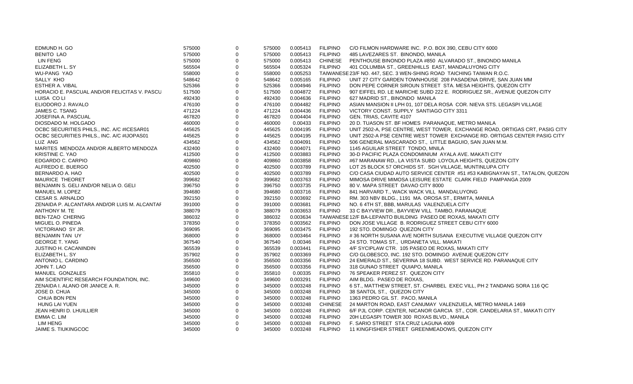| EDMUND H. GO                                 | 575000 | $\Omega$ | 575000 | 0.005413 | FILIPINO        | C/O FILMON HARDWARE INC. P.O. BOX 390, CEBU CITY 6000                       |
|----------------------------------------------|--------|----------|--------|----------|-----------------|-----------------------------------------------------------------------------|
| <b>BENITO LAO</b>                            | 575000 | $\Omega$ | 575000 | 0.005413 | <b>FILIPINO</b> | 485 LAVEZARES ST. BINONDO, MANILA                                           |
| LIN FENG                                     | 575000 |          | 575000 | 0.005413 | <b>CHINESE</b>  | PENTHOUSE BINONDO PLAZA #850 ALVARADO ST., BINONDO MANILA                   |
| ELIZABETH L. SY                              | 565504 |          | 565504 | 0.005324 | <b>FILIPINO</b> | 401 COLUMBIA ST., GREENHILLS EAST, MANDALUYONG CITY                         |
| <b>WU-PANG YAO</b>                           | 558000 |          | 558000 | 0.005253 |                 | TAIWANESE 23/F NO. 447, SEC. 3 WEN-SHING ROAD TAICHING TAIWAN R.O.C.        |
| SALLY KHO                                    | 548642 |          | 548642 | 0.005165 | <b>FILIPINO</b> | UNIT 27 CITY GARDEN TOWNHOUSE 208 PASADENA DRIVE, SAN JUAN MM               |
| <b>ESTHER A. VIBAL</b>                       | 525366 | $\Omega$ | 525366 | 0.004946 | <b>FILIPINO</b> | DON PEPE CORNER SIROUN STREET STA. MESA HEIGHTS, QUEZON CITY                |
| HORACIO E. PASCUAL AND/OR FELICITAS V. PASCU | 517500 |          | 517500 | 0.004872 | <b>FILIPINO</b> | 907 EIFFEL RD. LE MARICHE SUBD 222 E. RODRIGUEZ SR., AVENUE QUEZON CITY     |
| LUISA CO LI                                  | 492430 |          | 492430 | 0.004636 | <b>FILIPINO</b> | 627 MADRID ST., BINONDO MANILA                                              |
| ELIODORO J. RAVALO                           | 476100 | $\Omega$ | 476100 | 0.004482 | <b>FILIPINO</b> | ASIAN MANSION II LPH 01, 107 DELA ROSA COR. NIEVA STS. LEGASPI VILLAGE      |
| JAMES C. TSANG                               | 471224 |          | 471224 | 0.004436 | <b>FILIPINO</b> | VICTORY CONST. SUPPLY SANTIAGO CITY 3311                                    |
| JOSEFINA A. PASCUAL                          | 467820 | $\Omega$ | 467820 | 0.004404 | <b>FILIPINO</b> | GEN. TRIAS, CAVITE 4107                                                     |
| DIOSDADO M. HOLGADO                          | 460000 | 0        | 460000 | 0.00433  | <b>FILIPINO</b> | 20 D. TUASON ST. BF HOMES PARANAQUE, METRO MANILA                           |
| OCBC SECURITIES PHILS., INC. A/C #ICESAR01   | 445625 |          | 445625 | 0.004195 | <b>FILIPINO</b> | UNIT 2502-A, PSE CENTRE, WEST TOWER, EXCHANGE ROAD, ORTIGAS CRT, PASIG CITY |
| OCBC SECURITIES PHILS., INC. A/C #IJOPAS01   | 445625 |          | 445625 | 0.004195 | <b>FILIPINO</b> | UNIT 2502-A PSE CENTRE WEST TOWER EXCHANGE RD. ORTIGAS CENTER PASIG CITY    |
| LUZ ANG                                      | 434562 |          | 434562 | 0.004091 | <b>FILIPINO</b> | 506 GENERAL MASCARADO ST., LITTLE BAGUIO, SAN JUAN M.M.                     |
| MARITES MENDOZA AND/OR ALBERTO MENDOZA       | 432400 |          | 432400 | 0.004071 | <b>FILIPINO</b> | 1145 AGUILAR STREET TONDO, MNILA                                            |
| <b>KRISTINE C. YAO</b>                       | 412500 | $\Omega$ | 412500 | 0.003883 | <b>FILIPINO</b> | 30-D PACIFIC PLAZA CONDOMINIUM AYALA AVE. MAKATI CITY                       |
| EDGARDO C. CARPIO                            | 409860 |          | 409860 | 0.003858 | <b>FILIPINO</b> | #67 MARANAW RD., LA VISTA SUBD LOYOLA HEIGHTS, QUEZON CITY                  |
| ALFREDO E. BUERGO                            | 402500 |          | 402500 | 0.003789 | <b>FILIPINO</b> | LOT 25 BLOCK 57 ORCHIDS ST. SGH VILLAGE, MUNTINLUPA CITY                    |
| BERNARDO A. HAO                              | 402500 | $\Omega$ | 402500 | 0.003789 | <b>FILIPINO</b> | C/O CASA CIUDAD AUTO SERVICE CENTER #51 #53 KABIGNAYAN ST., TATALON, QUEZON |
| <b>MAURICE THEORET</b>                       | 399682 |          | 399682 | 0.003763 | <b>FILIPINO</b> | MIMOSA DRIVE MIMOSA LEISURE ESTATE CLARK FIELD PAMPANGA 2009                |
| BENJAMIN S. GELI AND/OR NELIA O. GELI        | 396750 | $\Omega$ | 396750 | 0.003735 | <b>FILIPINO</b> | 80 V. MAPA STREET DAVAO CITY 8000                                           |
| MANUEL M. LOPEZ                              | 394680 |          | 394680 | 0.003716 | <b>FILIPINO</b> | 841 HARVARD T., WACK WACK VILL MANDALUYONG                                  |
| <b>CESAR S. ARNALDO</b>                      | 392150 |          | 392150 | 0.003692 | <b>FILIPINO</b> | RM. 303 NBV BLDG., 1191 MA. OROSA ST., ERMITA, MANILA                       |
| ZENAIDA P. ALCANTARA AND/OR LUIS M. ALCANTAF | 391000 | 0        | 391000 | 0.003681 | <b>FILIPINO</b> | NO. 6 4TH ST, BBB, MARULAS VALENZUELA CITY                                  |
| ANTHONY M. TE                                | 388079 |          | 388079 | 0.003653 | <b>FILIPINO</b> | 33 C BAYVIEW DR., BAYVIEW VILL TAMBO, PARANAQUE                             |
| <b>BEN-TZAO CHERNG</b>                       | 386032 |          | 386032 | 0.003634 |                 | TAIWANESE 12/F BA-LEPANTO BUILDING PASEO DE ROXAS, MAKATI CITY              |
| MIGUEL O. PINEDA                             | 378350 |          | 378350 | 0.003562 | <b>FILIPINO</b> | DON JOSE VILLAGE B. RODRIGUEZ STREET CEBU CITY 6000                         |
| VICTORIANO SY JR.                            | 369095 |          | 369095 | 0.003475 | <b>FILIPINO</b> | 192 STO, DOMINGO QUEZON CITY                                                |
| BENJAMIN TAN UY                              | 368000 |          | 368000 | 0.003464 | <b>FILIPINO</b> | #36 NORTH SUSANA AVE NORTH SUSANA EXECUTIVE VILLAGE QUEZON CITY             |
| <b>GEORGE T. YANG</b>                        | 367540 |          | 367540 | 0.00346  | <b>FILIPINO</b> | 24 STO. TOMAS ST., URDANETA VILL. MAKATI                                    |
| JUSTINO H. CACANINDIN                        | 365539 |          | 365539 | 0.003441 | <b>FILIPINO</b> | 4/F SYCIPLAW CTR. 105 PASEO DE ROXAS, MAKATI CITY                           |
| ELIZABETH L. SY                              | 357902 | $\Omega$ | 357902 | 0.003369 | <b>FILIPINO</b> | C/O GLOBESCO, INC. 192 STO. DOMINGO AVENUE QUEZON CITY                      |
| ANTONIO L. CARDINO                           | 356500 |          | 356500 | 0.003356 | <b>FILIPINO</b> | 24 EMERALD ST., SEVERINA 18 SUBD. WEST SERVICE RD. PARANAQUE CITY           |
| JOHN T. LAO                                  | 356500 |          | 356500 | 0.003356 | <b>FILIPINO</b> | 318 GUNAO STREET QUIAPO, MANILA                                             |
| MANUEL GONZALES                              | 355810 |          | 355810 | 0.00335  | <b>FILIPINO</b> | 76 SPEAKER PEREZ ST. QUEZON CITY                                            |
| AIM SCIENTIFIC RESEARCH FOUNDATION, INC.     | 349600 |          | 349600 | 0.003291 | <b>FILIPINO</b> | AIM BLDG. PASEO DE ROXAS,                                                   |
| ZENAIDA I. ALANO OR JANICE A. R.             | 345000 | $\Omega$ | 345000 | 0.003248 | <b>FILIPINO</b> | 6 ST., MATTHEW STREET, ST. CHARBEL EXEC VILL, PH 2 TANDANG SORA 116 QC      |
| JOSE D. CHUA                                 | 345000 |          | 345000 | 0.003248 | <b>FILIPINO</b> | 38 SANTOL ST., QUEZON CITY                                                  |
| CHUA BON PEN                                 | 345000 |          | 345000 | 0.003248 | <b>FILIPINO</b> | 1363 PEDRO GIL ST. PACO, MANILA                                             |
| HUNG LAI YUEN                                | 345000 | $\Omega$ | 345000 | 0.003248 | <b>CHINESE</b>  | 24 MARTON ROAD, EAST CANUMAY VALENZUELA, METRO MANILA 1469                  |
| JEAN HENRI D. LHUILLIER                      | 345000 |          | 345000 | 0.003248 | <b>FILIPINO</b> | 6/F PJL CORP. CENTER, NICANOR GARCIA ST., COR. CANDELARIA ST., MAKATI CITY  |
| EMMA C. LIM                                  | 345000 |          | 345000 | 0.003248 | <b>FILIPINO</b> | 20H LEGASPI TOWER 300 ROXAS BLVD., MANILA                                   |
| <b>LIM HENG</b>                              | 345000 |          | 345000 | 0.003248 | <b>FILIPINO</b> | F. SARIO STREET STA CRUZ LAGUNA 4009                                        |
| <b>JAIME S. TIUKINGCOC</b>                   | 345000 | $\Omega$ | 345000 | 0.003248 | <b>FILIPINO</b> | 11 KINGFISHER STREET GREENMEADOWS, QUEZON CITY                              |
|                                              |        |          |        |          |                 |                                                                             |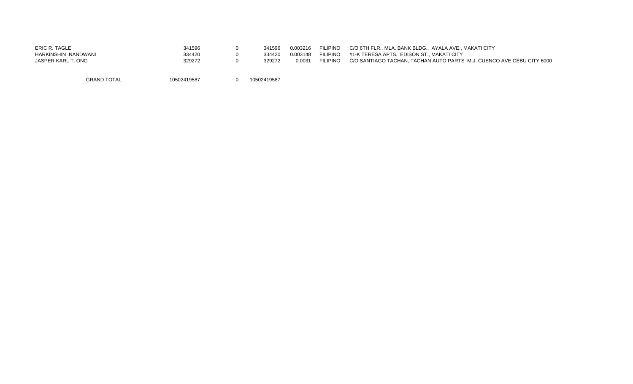| ERIC R. TAGLE       | 341596      | 341596      | 0.003216 | <b>FILIPINO</b> | C/O 6TH FLR., MLA, BANK BLDG., AYALA AVE., MAKATI CITY                |
|---------------------|-------------|-------------|----------|-----------------|-----------------------------------------------------------------------|
| HARKINSHIN NANDWANI | 334420      | 334420      | 0.003148 | <b>FILIPINO</b> | #1-K TERESA APTS. EDISON ST MAKATI CITY                               |
| JASPER KARL T. ONG  | 329272      | 329272      | 0.0031   | <b>FILIPINO</b> | C/O SANTIAGO TACHAN. TACHAN AUTO PARTS M.J. CUENCO AVE CEBU CITY 6000 |
|                     |             |             |          |                 |                                                                       |
| <b>GRAND TOTAL</b>  | 10502419587 | 10502419587 |          |                 |                                                                       |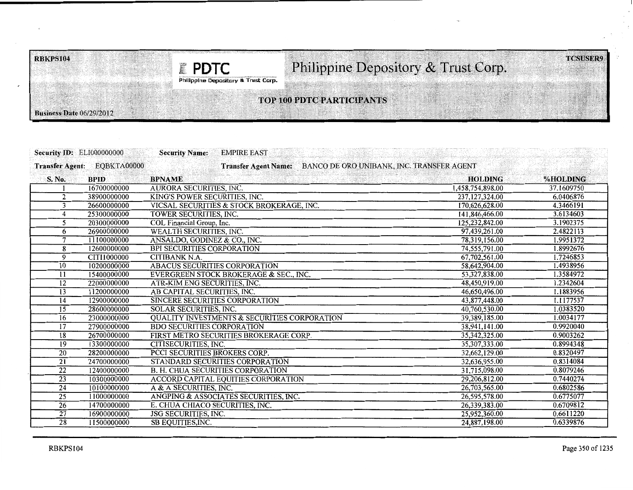**E** PDTC

# Philippine Depository & Trust Corp.

Philippine Depository & Trust Corp.

# TOP 100 PDTC PARTICIPANTS

---------------------------------------------------------------------------------------------,

|                 | <b>Security ID: ELI000000000</b> | <b>Security Name:</b>             | <b>EMPIRE EAST</b>                                      |                                           |            |
|-----------------|----------------------------------|-----------------------------------|---------------------------------------------------------|-------------------------------------------|------------|
|                 | Transfer Agent: EQBKTA00000      |                                   | <b>Transfer Agent Name:</b>                             | BANCO DE ORO UNIBANK, INC. TRANSFER AGENT |            |
| S. No.          | <b>BPID</b>                      | <b>BPNAME</b>                     |                                                         | <b>HOLDING</b>                            | %HOLDING   |
|                 | 16700000000                      | AURORA SECURITIES, INC.           |                                                         | 1,458,754,898.00                          | 37.1609750 |
| $\overline{2}$  | 38900000000                      | KING'S POWER SECURITIES, INC.     |                                                         | 237,127,324.00                            | 6.0406876  |
| 3               | 26600000000                      |                                   | VICSAL SECURITIES & STOCK BROKERAGE, INC.               | 170,626,628.00                            | 4.3466191  |
| $\overline{4}$  | 25300000000                      | TOWER SECURITIES, INC.            |                                                         | 141,846,466.00                            | 3.6134603  |
| 5               | 20300000000                      | COL Financial Group, Inc.         |                                                         | 125,232,842.00                            | 3.1902375  |
| 6               | 26900000000                      | WEALTH SECURITIES, INC.           |                                                         | 97,439,261.00                             | 2.4822113  |
| $\tau$          | 11100000000                      | ANSALDO, GODINEZ & CO., INC.      |                                                         | 78,319,156.00                             | 1.9951372  |
| 8               | 12600000000                      | <b>BPI SECURITIES CORPORATION</b> |                                                         | 74,555,791.00                             | 1.8992676  |
| 9               | CITI1000000                      | CITIBANK N.A.                     |                                                         | 67,702,561.00                             | 1.7246853  |
| 10              | 10200000000                      |                                   | <b>ABACUS SECURITIES CORPORATION</b>                    | 58,642,904.00                             | 1.4938956  |
| 11              | 15400000000                      |                                   | EVERGREEN STOCK BROKERAGE & SEC., INC.                  | 53,327,838.00                             | 1.3584972  |
| 12              | 22000000000                      | ATR-KIM ENG SECURITIES, INC.      |                                                         | 48,450,919.00                             | 1.2342604  |
| 13              | 11200000000                      | AB CAPITAL SECURITIES, INC.       |                                                         | 46,650,496.00                             | 1.1883956  |
| 14              | 12900000000                      |                                   | SINCERE SECURITIES CORPORATION                          | 43,877,448.00                             | 1.1177537  |
| $\overline{15}$ | 28600000000                      | <b>SOLAR SECURITIES, INC.</b>     |                                                         | 40,760,530.00                             | 1.0383520  |
| 16              | 23000000000                      |                                   | <b>QUALITY INVESTMENTS &amp; SECURITIES CORPORATION</b> | 39,389,185.00                             | 1.0034177  |
| 17              | 27900000000                      | <b>BDO SECURITIES CORPORATION</b> |                                                         | 38,941,141.00                             | 0.9920040  |
| $\overline{18}$ | 26700000000                      |                                   | FIRST METRO SECURITIES BROKERAGE CORP.                  | 35,342,325.00                             | 0.9003262  |
| 19              | 13300000000                      | CITISECURITIES, INC.              |                                                         | 35,307,333.00                             | 0.8994348  |
| $\overline{20}$ | 28200000000                      | PCCI SECURITIES BROKERS CORP.     |                                                         | 32,662,129.00                             | 0.8320497  |
| $\overline{21}$ | 24700000000                      |                                   | STANDARD SECURITIES CORPORATION                         | 32,636,955.00                             | 0.8314084  |
| $\overline{22}$ | 12400000000                      |                                   | <b>B. H. CHUA SECURITIES CORPORATION</b>                | 31.715.098.00                             | 0.8079246  |
| $\overline{23}$ | 10300000000                      |                                   | <b>ACCORD CAPITAL EQUITIES CORPORATION</b>              | 29,206,812.00                             | 0.7440274  |
| 24              | 10100000000                      | A & A SECURITIES, INC.            |                                                         | 26,703,565.00                             | 0.6802586  |
| $\overline{25}$ | 11000000000                      |                                   | ANGPING & ASSOCIATES SECURITIES, INC.                   | 26,595,578.00                             | 0.6775077  |
| $\overline{26}$ | 14700000000                      | E. CHUA CHIACO SECURITIES, INC.   |                                                         | 26,339,383.00                             | 0.6709812  |
| $\overline{27}$ | 16900000000                      | <b>JSG SECURITIES, INC.</b>       |                                                         | 25,952,360.00                             | 0.6611220  |
| $\overline{28}$ | 11500000000                      | <b>SB EQUITIES, INC.</b>          |                                                         | 24,887,198.00                             | 0.6339876  |

.

**Business Date 06/29/2012** 

**TCSUSER9**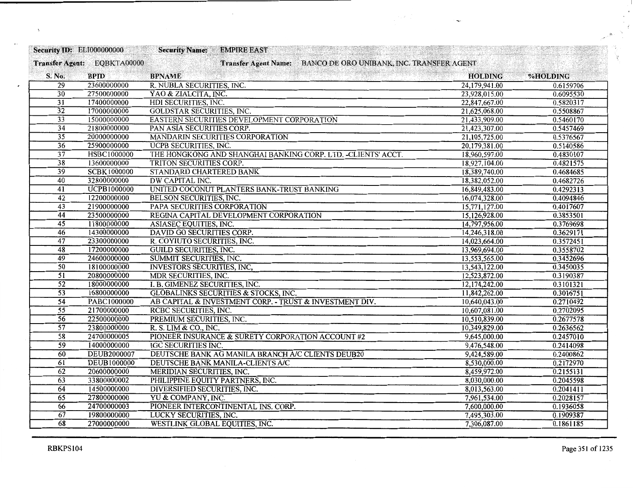| <b>Security ID: EL1000000000</b> |                             | $\mathcal{L}_{\mathcal{A}}\left[\left\{ \mathcal{L}_{\mathcal{A}}\right\} ,\left\{ \mathcal{L}_{\mathcal{A}}\right\} ,\left\{ \mathcal{L}_{\mathcal{A}}\right\} ,\left\{ \mathcal{L}_{\mathcal{A}}\right\} \right]$<br><b>Security Name:</b><br><b>EMPIRE EAST</b> |                |           |
|----------------------------------|-----------------------------|--------------------------------------------------------------------------------------------------------------------------------------------------------------------------------------------------------------------------------------------------------------------|----------------|-----------|
|                                  | Transfer Agent: EQBKTA00000 | Transfer Agent Name: BANCO DE ORO UNIBANK, INC. TRANSFER AGENT                                                                                                                                                                                                     |                |           |
| S. No.                           | <b>BPID</b>                 | <b>BPNAME</b>                                                                                                                                                                                                                                                      | <b>HOLDING</b> | %HOLDING  |
| $\overline{29}$                  | 23600000000                 | R. NUBLA SECURITIES, INC.                                                                                                                                                                                                                                          | 24,179,941.00  | 0.6159706 |
| $\overline{30}$                  | 27500000000                 | YAO & ZIALCITA, INC.                                                                                                                                                                                                                                               | 23,928,015.00  | 0.6095530 |
| $\overline{31}$                  | 17400000000                 | HDI SECURITIES, INC.                                                                                                                                                                                                                                               | 22,847,667.00  | 0.5820317 |
| $\overline{32}$                  | 17000000000                 | <b>GOLDSTAR SECURITIES, INC.</b>                                                                                                                                                                                                                                   | 21,625,068.00  | 0.5508867 |
| $\overline{33}$                  | 15000000000                 | EASTERN SECURITIES DEVELOPMENT CORPORATION                                                                                                                                                                                                                         | 21,433,909.00  | 0.5460170 |
| $\overline{34}$                  | 21800000000                 | PAN ASIA SECURITIES CORP.                                                                                                                                                                                                                                          | 21,423,307.00  | 0.5457469 |
| $\overline{35}$                  | 20000000000                 | MANDARIN SECURITIES CORPORATION                                                                                                                                                                                                                                    | 21,105,725.00  | 0.5376567 |
| $\overline{36}$                  | 25900000000                 | <b>UCPB SECURITIES, INC.</b>                                                                                                                                                                                                                                       | 20,179,381.00  | 0.5140586 |
| $\overline{37}$                  | <b>HSBC1000000</b>          | THE HONGKONG AND SHANGHAI BANKING CORP. LTD. - CLIENTS' ACCT.                                                                                                                                                                                                      | 18,960,597.00  | 0.4830107 |
| $\overline{38}$                  | 13600000000                 | TRITON SECURITIES CORP.                                                                                                                                                                                                                                            | 18,927,104.00  | 0.4821575 |
| $\overline{39}$                  | <b>SCBK1000000</b>          | STANDARD CHARTERED BANK                                                                                                                                                                                                                                            | 18,389,740.00  | 0.4684685 |
| 40                               | 32800000000                 | DW CAPITAL INC.                                                                                                                                                                                                                                                    | 18,382,052.00  | 0.4682726 |
| $\overline{41}$                  | UCPB1000000                 | UNITED COCONUT PLANTERS BANK-TRUST BANKING                                                                                                                                                                                                                         | 16,849,483.00  | 0.4292313 |
| $\overline{42}$                  | 12200000000                 | <b>BELSON SECURITIES, INC.</b>                                                                                                                                                                                                                                     | 16,074,328.00  | 0.4094846 |
| $\overline{43}$                  | 21900000000                 | PAPA SECURITIES CORPORATION                                                                                                                                                                                                                                        | 15,771,127.00  | 0.4017607 |
| $\overline{44}$                  | 23500000000                 | REGINA CAPITAL DEVELOPMENT CORPORATION                                                                                                                                                                                                                             | 15,126,928.00  | 0.3853501 |
| $\overline{45}$                  | 11800000000                 | ASIASEC EQUITIES, INC.                                                                                                                                                                                                                                             | 14,797,956.00  | 0.3769698 |
| $\overline{46}$                  | 14300000000                 | DAVID GO SECURITIES CORP.                                                                                                                                                                                                                                          | 14,246,318.00  | 0.3629171 |
| 47                               | 23300000000                 | R. COYIUTO SECURITIES, INC.                                                                                                                                                                                                                                        | 14,023,664.00  | 0.3572451 |
| 48                               | 17200000000                 | <b>GUILD SECURITIES, INC.</b>                                                                                                                                                                                                                                      | 13,969,694.00  | 0.3558702 |
| $\overline{49}$                  | 24600000000                 | SUMMIT SECURITIES, INC.                                                                                                                                                                                                                                            | 13,553,565.00  | 0.3452696 |
| 50                               | 18100000000                 | <b>INVESTORS SECURITIES, INC.</b>                                                                                                                                                                                                                                  | 13,543,122.00  | 0.3450035 |
| $\overline{51}$                  | 20800000000                 | MDR SECURITIES, INC.                                                                                                                                                                                                                                               | 12,523,872.00  | 0.3190387 |
| $\overline{52}$                  | 18000000000                 | I. B. GIMENEZ SECURITIES, INC.                                                                                                                                                                                                                                     | 12,174,242.00  | 0.3101321 |
| $\overline{53}$                  | 16800000000                 | <b>GLOBALINKS SECURITIES &amp; STOCKS, INC.</b>                                                                                                                                                                                                                    | 11,842,262.00  | 0.3016751 |
| $\overline{54}$                  | PABC1000000                 | AB CAPITAL & INVESTMENT CORP. - TRUST & INVESTMENT DIV.                                                                                                                                                                                                            | 10,640,043.00  | 0.2710492 |
| $\overline{55}$                  | 21700000000                 | RCBC SECURITIES, INC.                                                                                                                                                                                                                                              | 10,607,081.00  | 0.2702095 |
| $\overline{56}$                  | 22500000000                 | PREMIUM SECURITIES, INC.                                                                                                                                                                                                                                           | 10,510,839.00  | 0.2677578 |
| $\overline{57}$                  | 23800000000                 | R. S. LIM & CO., INC.                                                                                                                                                                                                                                              | 10,349,829.00  | 0.2636562 |
| $\overline{58}$                  | 24700000005                 | PIONEER INSURANCE & SURETY CORPORATION ACCOUNT #2                                                                                                                                                                                                                  | 9,645,000.00   | 0.2457010 |
| $\overline{59}$                  | 14000000000                 | <b>IGC SECURITIES INC.</b>                                                                                                                                                                                                                                         | 9,476,548.00   | 0.2414098 |
| 60                               | <b>DEUB2000007</b>          | DEUTSCHE BANK AG MANILA BRANCH A/C CLIENTS DEUB20                                                                                                                                                                                                                  | 9,424,589.00   | 0.2400862 |
| 61                               | <b>DEUB1000000</b>          | DEUTSCHE BANK MANILA-CLIENTS A/C                                                                                                                                                                                                                                   | 8,530,000.00   | 0.2172970 |
| 62                               | 20600000000                 | MERIDIAN SECURITIES, INC.                                                                                                                                                                                                                                          | 8,459,972.00   | 0.2155131 |
| 63                               | 33800000002                 | PHILIPPINE EQUITY PARTNERS, INC.                                                                                                                                                                                                                                   | 8,030,000.00   | 0.2045598 |
| 64                               | 14500000000                 | DIVERSIFIED SECURITIES, INC.                                                                                                                                                                                                                                       | 8,013,563.00   | 0.2041411 |
| 65                               | 27800000000                 | YU & COMPANY, INC.                                                                                                                                                                                                                                                 | 7,961,534.00   | 0.2028157 |
| 66                               | 24700000003                 | PIONEER INTERCONTINENTAL INS. CORP.                                                                                                                                                                                                                                | 7,600,000.00   | 0.1936058 |
| 67                               | 19800000000                 | LUCKY SECURITIES, INC.                                                                                                                                                                                                                                             | 7,495,303.00   | 0.1909387 |
| 68                               | 27000000000                 | WESTLINK GLOBAL EQUITIES, INC.                                                                                                                                                                                                                                     | 7,306,087.00   | 0.1861185 |

 $\,$ 

×

 $\epsilon$ 

 $\overline{\phantom{a}}$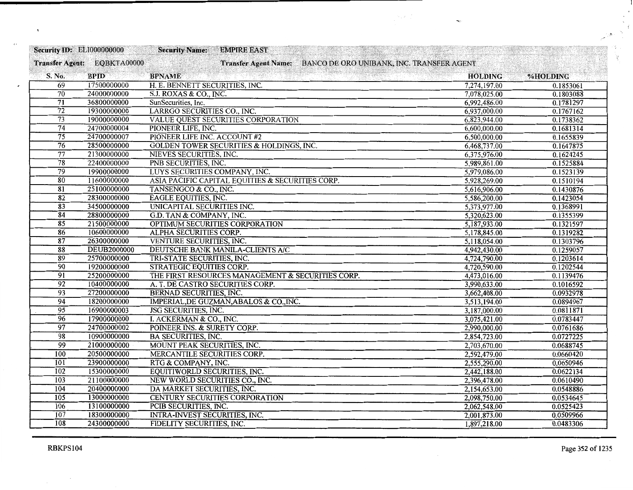| <b>Security ID: EL1000000000</b> |                             | <b>Security Name:</b><br><b>EMPIRE EAST</b>                    |                |           |
|----------------------------------|-----------------------------|----------------------------------------------------------------|----------------|-----------|
|                                  | Transfer Agent: EQBKTA00000 | Transfer Agent Name: BANCO DE ORO UNIBANK, INC. TRANSFER AGENT |                |           |
| S. No.                           | <b>BPID</b>                 | <b>BPNAME</b>                                                  | <b>HOLDING</b> | %HOLDING  |
| $\overline{69}$                  | 17500000000                 | H. E. BENNETT SECURITIES, INC.                                 | 7,274,197.00   | 0.1853061 |
| $\overline{70}$                  | 24000000000                 | S.J. ROXAS & CO., INC.                                         | 7,078,025.00   | 0.1803088 |
| 71                               | 36800000000                 | SunSecurities, Inc.                                            | 6,992,486.00   | 0.1781297 |
| $\overline{72}$                  | 19300000000                 | LARRGO SECURITIES CO., INC.                                    | 6,937,000.00   | 0.1767162 |
| $\overline{73}$                  | 19000000000                 | VALUE QUEST SECURITIES CORPORATION                             | 6,823,944.00   | 0.1738362 |
| $\overline{74}$                  | 24700000004                 | PIONEER LIFE, INC.                                             | 6,600,000.00   | 0.1681314 |
| $\overline{75}$                  | 24700000007                 | PIONEER LIFE INC. ACCOUNT #2                                   | 6,500,000.00   | 0.1655839 |
| $\overline{76}$                  | 28500000000                 | <b>GOLDEN TOWER SECURITIES &amp; HOLDINGS, INC.</b>            | 6,468,737.00   | 0.1647875 |
| 77                               | 21300000000                 | NIEVES SECURITIES, INC.                                        | 6,375,976.00   | 0.1624245 |
| $\overline{78}$                  | 22400000000                 | PNB SECURITIES, INC.                                           | 5,989,861.00   | 0.1525884 |
| $\overline{79}$                  | 19900000000                 | LUYS SECURITIES COMPANY, INC.                                  | 5,979,086.00   | 0.1523139 |
| 80                               | 11600000000                 | ASIA PACIFIC CAPITAL EQUITIES & SECURITIES CORP.               | 5,928,269.00   | 0.1510194 |
| $\overline{81}$                  | 25100000000                 | TANSENGCO & CO., INC.                                          | 5,616,906.00   | 0.1430876 |
| $\overline{82}$                  | 28300000000                 | <b>EAGLE EQUITIES, INC.</b>                                    | 5,586,200.00   | 0.1423054 |
| $\overline{83}$                  | 34500000000                 | UNICAPITAL SECURITIES INC.                                     | 5,373,977.00   | 0.1368991 |
| 84                               | 28800000000                 | G.D. TAN & COMPANY, INC.                                       | 5,320,623.00   | 0.1355399 |
| $\overline{\overline{85}}$       | 21500000000                 | OPTIMUM SECURITIES CORPORATION                                 | 5,187,933.00   | 0.1321597 |
| 86                               | 10600000000                 | ALPHA SECURITIES CORP.                                         | 5,178,845.00   | 0.1319282 |
| 87                               | 26300000000                 | <b>VENTURE SECURITIES, INC.</b>                                | 5,118,054.00   | 0.1303796 |
| 88                               | <b>DEUB2000000</b>          | DEUTSCHE BANK MANILA-CLIENTS A/C                               | 4,942,430.00   | 0.1259057 |
| $\overline{89}$                  | 25700000000                 | TRI-STATE SECURITIES, INC.                                     | 4,724,790.00   | 0.1203614 |
| 90                               | 19200000000                 | STRATEGIC EQUITIES CORP.                                       | 4,720,590.00   | 0.1202544 |
| $\overline{91}$                  | 25200000000                 | THE FIRST RESOURCES MANAGEMENT & SECURITIES CORP.              | 4,473,016.00   | 0.1139476 |
| $\overline{92}$                  | 10400000000                 | A. T. DE CASTRO SECURITIES CORP.                               | 3,990,633.00   | 0.1016592 |
| $\overline{93}$                  | 27200000000                 | <b>BERNAD SECURITIES, INC.</b>                                 | 3,662,408.00   | 0.0932978 |
| $\overline{94}$                  | 18200000000                 | IMPERIAL, DE GUZMAN, ABALOS & CO., INC.                        | 3,513,194.00   | 0.0894967 |
| $\overline{95}$                  | 16900000003                 | JSG SECURITIES, INC.                                           | 3,187,000.00   | 0.0811871 |
| 96                               | 17900000000                 | I. ACKERMAN & CO., INC.                                        | 3,075,421.00   | 0.0783447 |
| $\overline{97}$                  | 24700000002                 | POINEER INS. & SURETY CORP.                                    | 2,990,000.00   | 0.0761686 |
| 98                               | 10900000000                 | <b>BA SECURITIES, INC.</b>                                     | 2,854,723.00   | 0.0727225 |
| 99                               | 21000000000                 | MOUNT PEAK SECURITIES, INC.                                    | 2,703,670.00   | 0.0688745 |
| 100                              | 20500000000                 | MERCANTILE SECURITIES CORP.                                    | 2,592,479.00   | 0.0660420 |
| $\overline{101}$                 | 23900000000                 | RTG & COMPANY, INC.                                            | 2,555,290.00   | 0.0650946 |
| 102                              | 15300000000                 | EQUITIWORLD SECURITIES, INC.                                   | 2,442,188.00   | 0.0622134 |
| 103                              | 21100000000                 | NEW WORLD SECURITIES CO., INC.                                 | 2,396,478.00   | 0.0610490 |
| 104                              | 20400000000                 | DA MARKET SECURITIES, INC.                                     | 2,154,653.00   | 0.0548886 |
| 105                              | 13000000000                 | <b>CENTURY SECURITIES CORPORATION</b>                          | 2,098,750.00   | 0.0534645 |
| 106                              | 13100000000                 | PCIB SECURITIES, INC.                                          | 2,062,548.00   | 0.0525423 |
| 107                              | 18300000000                 | <b>INTRA-INVEST SECURITIES, INC.</b>                           | 2,001,873.00   | 0.0509966 |
| 108                              | 24300000000                 | FIDELITY SECURITIES, INC.                                      | 1,897,218.00   | 0.0483306 |

 $\label{eq:2.1} \frac{1}{2} \sum_{i=1}^n \sum_{j=1}^n \frac{1}{j!} \sum_{j=1}^n \frac{1}{j!} \sum_{j=1}^n \frac{1}{j!} \sum_{j=1}^n \frac{1}{j!} \sum_{j=1}^n \frac{1}{j!} \sum_{j=1}^n \frac{1}{j!} \sum_{j=1}^n \frac{1}{j!} \sum_{j=1}^n \frac{1}{j!} \sum_{j=1}^n \frac{1}{j!} \sum_{j=1}^n \frac{1}{j!} \sum_{j=1}^n \frac{1}{j!} \sum_{j=1}^$ 

 $\mathbf{r}_{\mathrm{c}}$ 

 $\sim$   $\sim$ 

 $\bar{\mathbf{r}}$ 

ķ. ç. V.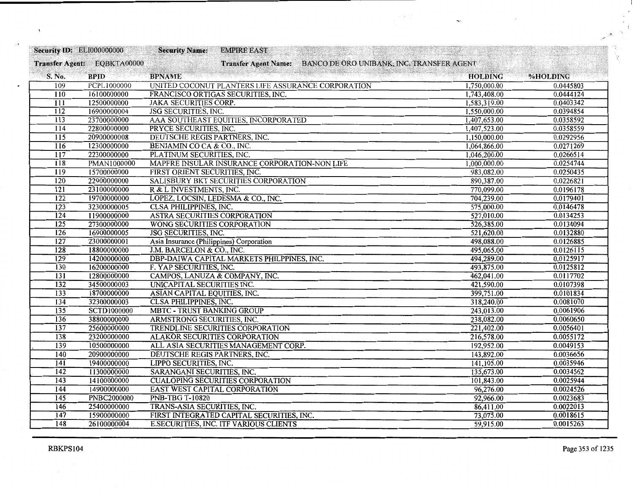| <b>Security ID: ELI000000000</b> |                             | <b>Security Name:</b><br><b>EMPIRE EAST</b>                    |                |           |
|----------------------------------|-----------------------------|----------------------------------------------------------------|----------------|-----------|
|                                  | Transfer Agent: EQBKTA00000 | Transfer Agent Name: BANCO DE ORO UNIBANK, INC. TRANSFER AGENT |                |           |
| S. No.                           | <b>BPID</b>                 | <b>BPNAME</b>                                                  | <b>HOLDING</b> | %HOLDING  |
| 109                              | <b>PCPL1000000</b>          | UNITED COCONUT PLANTERS LIFE ASSURANCE CORPORATION             | 1,750,000.00   | 0.0445803 |
| 110                              | 16100000000                 | FRANCISCO ORTIGAS SECURITIES, INC.                             | 1,743,408.00   | 0.0444124 |
| $\overline{111}$                 | 12500000000                 | <b>JAKA SECURITIES CORP.</b>                                   | 1,583,319.00   | 0.0403342 |
| 112                              | 16900000004                 | <b>JSG SECURITIES, INC.</b>                                    | 1,550,000.00   | 0.0394854 |
| 113                              | 23700000000                 | AAA SOUTHEAST EQUITIES, INCORPORATED                           | 1,407,653.00   | 0.0358592 |
| $\overline{114}$                 | 22800000000                 | PRYCE SECURITIES, INC.                                         | 1,407,523.00   | 0.0358559 |
| 115                              | 20900000008                 | DEUTSCHE REGIS PARTNERS, INC.                                  | 1,150,000.00   | 0.0292956 |
| $\overline{116}$                 | 12300000000                 | BENJAMIN CO CA & CO., INC.                                     | 1,064,866.00   | 0.0271269 |
| 117                              | 22300000000                 | PLATINUM SECURITIES, INC.                                      | 1,046,200.00   | 0.0266514 |
| 118                              | <b>PMAN1000000</b>          | MAPFRE INSULAR INSURANCE CORPORATION-NON LIFE                  | 1,000,000.00   | 0.0254744 |
| $\overline{119}$                 | 15700000000                 | FIRST ORIENT SECURITIES, INC.                                  | 983,082.00     | 0.0250435 |
| 120                              | 22900000000                 | SALISBURY BKT SECURITIES CORPORATION                           | 890,387.00     | 0.0226821 |
| $\overline{121}$                 | 23100000000                 | R & L INVESTMENTS, INC.                                        | 770,099.00     | 0.0196178 |
| 122                              | 19700000000                 | LOPEZ, LOCSIN, LEDESMA & CO., INC.                             | 704,239.00     | 0.0179401 |
| $\overline{123}$                 | 32300000005                 | <b>CLSA PHILIPPINES, INC.</b>                                  | 575,000.00     | 0.0146478 |
| $\overline{124}$                 | 11900000000                 | ASTRA SECURITIES CORPORATION                                   | 527,010.00     | 0.0134253 |
| $\overline{125}$                 | 27300000000                 | WONG SECURITIES CORPORATION                                    | 526,385.00     | 0.0134094 |
| 126                              | 16900000005                 | <b>JSG SECURITIES, INC.</b>                                    | 521,620.00     | 0.0132880 |
| $\overline{127}$                 | 23000000001                 | Asia Insurance (Philippines) Corporation                       | 498,088.00     | 0.0126885 |
| $\overline{128}$                 | 18800000000                 | J.M. BARCELON & CO., INC.                                      | 495,065.00     | 0.0126115 |
| 129                              | 14200000000                 | DBP-DAIWA CAPITAL MARKETS PHILPPINES, INC.                     | 494,289.00     | 0.0125917 |
| 130                              | 16200000000                 | F. YAP SECURITIES, INC.                                        | 493,875.00     | 0.0125812 |
| $\overline{131}$                 | 12800000000                 | CAMPOS, LANUZA & COMPANY, INC.                                 | 462,041.00     | 0.0117702 |
| $\overline{132}$                 | 34500000003                 | UNICAPITAL SECURITIES INC.                                     | 421,590.00     | 0.0107398 |
| 133                              | 18700000000                 | ASIAN CAPITAL EQUITIES, INC.                                   | 399,751.00     | 0.0101834 |
| 134                              | 32300000003                 | <b>CLSA PHILIPPINES, INC.</b>                                  | 318,240.00     | 0.0081070 |
| 135                              | <b>SCTD1000000</b>          | <b>MBTC - TRUST BANKING GROUP</b>                              | 243,013.00     | 0.0061906 |
| 136                              | 38800000000                 | ARMSTRONG SECURITIES, INC.                                     | 238,082.00     | 0.0060650 |
| $\overline{137}$                 | 25600000000                 | TRENDLINE SECURITIES CORPORATION                               | 221,402.00     | 0.0056401 |
| 138                              | 23200000000                 | <b>ALAKOR SECURITIES CORPORATION</b>                           | 216,578.00     | 0.0055172 |
| $\overline{139}$                 | 10500000000                 | ALL ASIA SECURITIES MANAGEMENT CORP.                           | 192,952.00     | 0.0049153 |
| 140                              | 20900000000                 | DEUTSCHE REGIS PARTNERS, INC.                                  | 143,892.00     | 0.0036656 |
| $\overline{141}$                 | 19400000000                 | LIPPO SECURITIES, INC.                                         | 141,105.00     | 0.0035946 |
| 142                              | 11300000000                 | SARANGANI SECURITIES, INC.                                     | 135,673.00     | 0.0034562 |
| 143                              | 14100000000                 | <b>CUALOPING SECURITIES CORPORATION</b>                        | 101,843.00     | 0.0025944 |
| 144                              | 14900000000                 | <b>EAST WEST CAPITAL CORPORATION</b>                           | 96,276.00      | 0.0024526 |
| $\overline{145}$                 | <b>PNBC2000000</b>          | <b>PNB-TBG T-10820</b>                                         | 92,966.00      | 0.0023683 |
| 146                              | 25400000000                 | TRANS-ASIA SECURITIES, INC.                                    | 86,411.00      | 0.0022013 |
| $\overline{147}$                 | 15900000000                 | FIRST INTEGRATED CAPITAL SECURITIES, INC.                      | 73,075.00      | 0.0018615 |
| 148                              | 26100000004                 | <b>E.SECURITIES, INC. ITF VARIOUS CLIENTS</b>                  | 59,915.00      | 0.0015263 |

 $\label{eq:2} \frac{1}{2} \sum_{i=1}^n \frac{1}{2} \sum_{j=1}^n \frac{1}{2} \sum_{j=1}^n \frac{1}{2} \sum_{j=1}^n \frac{1}{2} \sum_{j=1}^n \frac{1}{2} \sum_{j=1}^n \frac{1}{2} \sum_{j=1}^n \frac{1}{2} \sum_{j=1}^n \frac{1}{2} \sum_{j=1}^n \frac{1}{2} \sum_{j=1}^n \frac{1}{2} \sum_{j=1}^n \frac{1}{2} \sum_{j=1}^n \frac{1}{2} \sum_{j=1}^n \frac{1}{$ 

 $\mathcal{L}_{\text{eff}}$ 

 $\sim$  .

 $\epsilon$ 

i<br>V